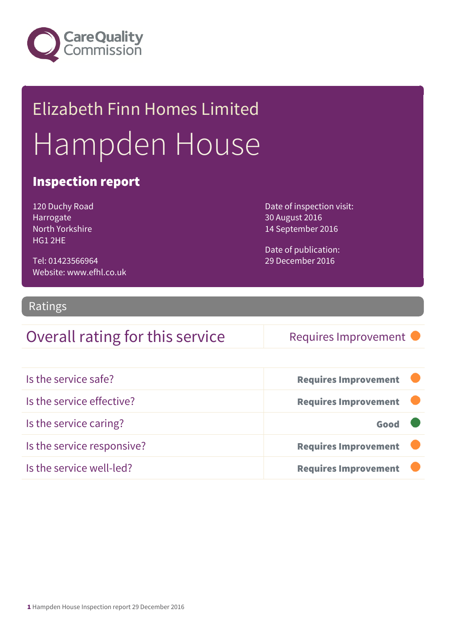

# Elizabeth Finn Homes Limited Hampden House

#### Inspection report

120 Duchy Road Harrogate North Yorkshire HG1 2HE

Tel: 01423566964 Website: www.efhl.co.uk Date of inspection visit: 30 August 2016 14 September 2016

Date of publication: 29 December 2016

#### Ratings

#### Overall rating for this service Requires Improvement

| Is the service safe?       | <b>Requires Improvement</b> |
|----------------------------|-----------------------------|
| Is the service effective?  | <b>Requires Improvement</b> |
| Is the service caring?     | Good                        |
| Is the service responsive? | <b>Requires Improvement</b> |
| Is the service well-led?   | <b>Requires Improvement</b> |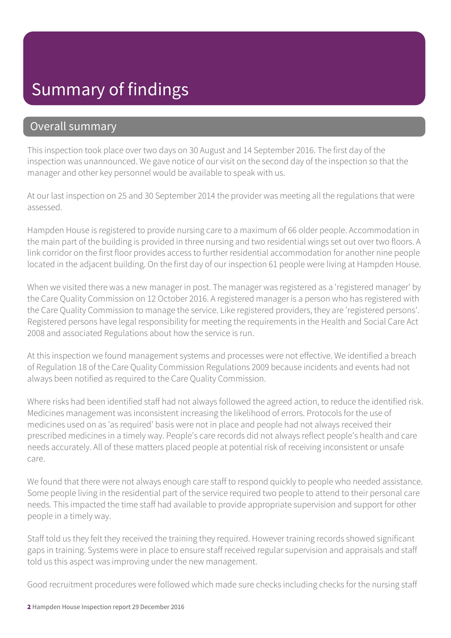# Summary of findings

#### Overall summary

This inspection took place over two days on 30 August and 14 September 2016. The first day of the inspection was unannounced. We gave notice of our visit on the second day of the inspection so that the manager and other key personnel would be available to speak with us.

At our last inspection on 25 and 30 September 2014 the provider was meeting all the regulations that were assessed.

Hampden House is registered to provide nursing care to a maximum of 66 older people. Accommodation in the main part of the building is provided in three nursing and two residential wings set out over two floors. A link corridor on the first floor provides access to further residential accommodation for another nine people located in the adjacent building. On the first day of our inspection 61 people were living at Hampden House.

When we visited there was a new manager in post. The manager was registered as a 'registered manager' by the Care Quality Commission on 12 October 2016. A registered manager is a person who has registered with the Care Quality Commission to manage the service. Like registered providers, they are 'registered persons'. Registered persons have legal responsibility for meeting the requirements in the Health and Social Care Act 2008 and associated Regulations about how the service is run.

At this inspection we found management systems and processes were not effective. We identified a breach of Regulation 18 of the Care Quality Commission Regulations 2009 because incidents and events had not always been notified as required to the Care Quality Commission.

Where risks had been identified staff had not always followed the agreed action, to reduce the identified risk. Medicines management was inconsistent increasing the likelihood of errors. Protocols for the use of medicines used on as 'as required' basis were not in place and people had not always received their prescribed medicines in a timely way. People's care records did not always reflect people's health and care needs accurately. All of these matters placed people at potential risk of receiving inconsistent or unsafe care.

We found that there were not always enough care staff to respond quickly to people who needed assistance. Some people living in the residential part of the service required two people to attend to their personal care needs. This impacted the time staff had available to provide appropriate supervision and support for other people in a timely way.

Staff told us they felt they received the training they required. However training records showed significant gaps in training. Systems were in place to ensure staff received regular supervision and appraisals and staff told us this aspect was improving under the new management.

Good recruitment procedures were followed which made sure checks including checks for the nursing staff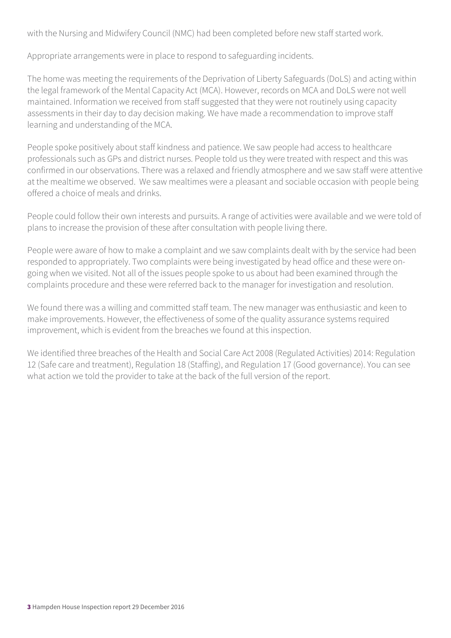with the Nursing and Midwifery Council (NMC) had been completed before new staff started work.

Appropriate arrangements were in place to respond to safeguarding incidents.

The home was meeting the requirements of the Deprivation of Liberty Safeguards (DoLS) and acting within the legal framework of the Mental Capacity Act (MCA). However, records on MCA and DoLS were not well maintained. Information we received from staff suggested that they were not routinely using capacity assessments in their day to day decision making. We have made a recommendation to improve staff learning and understanding of the MCA.

People spoke positively about staff kindness and patience. We saw people had access to healthcare professionals such as GPs and district nurses. People told us they were treated with respect and this was confirmed in our observations. There was a relaxed and friendly atmosphere and we saw staff were attentive at the mealtime we observed. We saw mealtimes were a pleasant and sociable occasion with people being offered a choice of meals and drinks.

People could follow their own interests and pursuits. A range of activities were available and we were told of plans to increase the provision of these after consultation with people living there.

People were aware of how to make a complaint and we saw complaints dealt with by the service had been responded to appropriately. Two complaints were being investigated by head office and these were ongoing when we visited. Not all of the issues people spoke to us about had been examined through the complaints procedure and these were referred back to the manager for investigation and resolution.

We found there was a willing and committed staff team. The new manager was enthusiastic and keen to make improvements. However, the effectiveness of some of the quality assurance systems required improvement, which is evident from the breaches we found at this inspection.

We identified three breaches of the Health and Social Care Act 2008 (Regulated Activities) 2014: Regulation 12 (Safe care and treatment), Regulation 18 (Staffing), and Regulation 17 (Good governance). You can see what action we told the provider to take at the back of the full version of the report.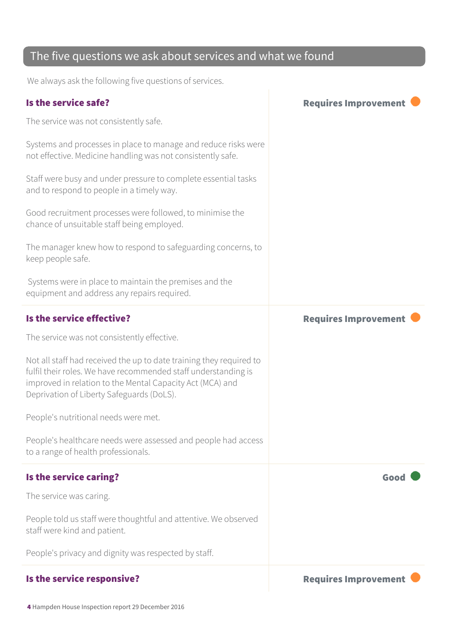#### The five questions we ask about services and what we found

We always ask the following five questions of services.

| Is the service safe?                                                                                                                                                                                                                            | <b>Requires Improvement</b> |
|-------------------------------------------------------------------------------------------------------------------------------------------------------------------------------------------------------------------------------------------------|-----------------------------|
| The service was not consistently safe.                                                                                                                                                                                                          |                             |
| Systems and processes in place to manage and reduce risks were<br>not effective. Medicine handling was not consistently safe.                                                                                                                   |                             |
| Staff were busy and under pressure to complete essential tasks<br>and to respond to people in a timely way.                                                                                                                                     |                             |
| Good recruitment processes were followed, to minimise the<br>chance of unsuitable staff being employed.                                                                                                                                         |                             |
| The manager knew how to respond to safeguarding concerns, to<br>keep people safe.                                                                                                                                                               |                             |
| Systems were in place to maintain the premises and the<br>equipment and address any repairs required.                                                                                                                                           |                             |
| Is the service effective?                                                                                                                                                                                                                       | <b>Requires Improvement</b> |
| The service was not consistently effective.                                                                                                                                                                                                     |                             |
| Not all staff had received the up to date training they required to<br>fulfil their roles. We have recommended staff understanding is<br>improved in relation to the Mental Capacity Act (MCA) and<br>Deprivation of Liberty Safeguards (DoLS). |                             |
| People's nutritional needs were met.                                                                                                                                                                                                            |                             |
| People's healthcare needs were assessed and people had access<br>to a range of health professionals.                                                                                                                                            |                             |
| Is the service caring?                                                                                                                                                                                                                          | Good                        |
| The service was caring.                                                                                                                                                                                                                         |                             |
| People told us staff were thoughtful and attentive. We observed<br>staff were kind and patient.                                                                                                                                                 |                             |
| People's privacy and dignity was respected by staff.                                                                                                                                                                                            |                             |
| Is the service responsive?                                                                                                                                                                                                                      | <b>Requires Improvement</b> |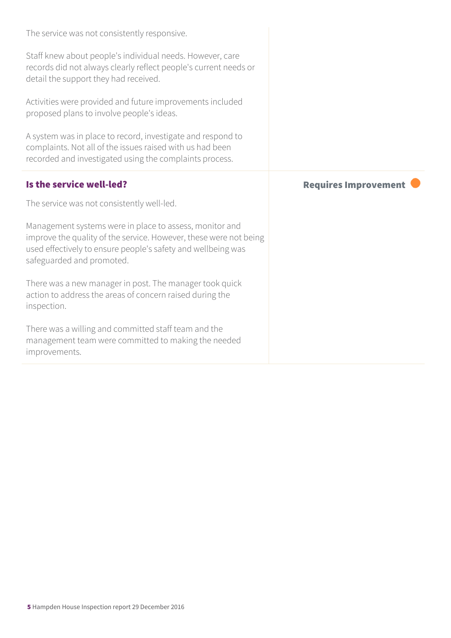| The service was not consistently responsive.                                                                                                                                                                              |                             |
|---------------------------------------------------------------------------------------------------------------------------------------------------------------------------------------------------------------------------|-----------------------------|
| Staff knew about people's individual needs. However, care<br>records did not always clearly reflect people's current needs or<br>detail the support they had received.                                                    |                             |
| Activities were provided and future improvements included<br>proposed plans to involve people's ideas.                                                                                                                    |                             |
| A system was in place to record, investigate and respond to<br>complaints. Not all of the issues raised with us had been<br>recorded and investigated using the complaints process.                                       |                             |
| Is the service well-led?                                                                                                                                                                                                  | <b>Requires Improvement</b> |
|                                                                                                                                                                                                                           |                             |
| The service was not consistently well-led.                                                                                                                                                                                |                             |
| Management systems were in place to assess, monitor and<br>improve the quality of the service. However, these were not being<br>used effectively to ensure people's safety and wellbeing was<br>safeguarded and promoted. |                             |
| There was a new manager in post. The manager took quick<br>action to address the areas of concern raised during the<br>inspection.                                                                                        |                             |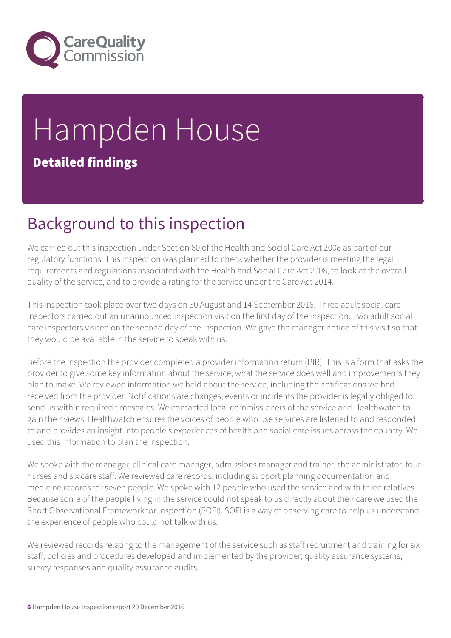

# Hampden House Detailed findings

# Background to this inspection

We carried out this inspection under Section 60 of the Health and Social Care Act 2008 as part of our regulatory functions. This inspection was planned to check whether the provider is meeting the legal requirements and regulations associated with the Health and Social Care Act 2008, to look at the overall quality of the service, and to provide a rating for the service under the Care Act 2014.

This inspection took place over two days on 30 August and 14 September 2016. Three adult social care inspectors carried out an unannounced inspection visit on the first day of the inspection. Two adult social care inspectors visited on the second day of the inspection. We gave the manager notice of this visit so that they would be available in the service to speak with us.

Before the inspection the provider completed a provider information return (PIR). This is a form that asks the provider to give some key information about the service, what the service does well and improvements they plan to make. We reviewed information we held about the service, including the notifications we had received from the provider. Notifications are changes, events or incidents the provider is legally obliged to send us within required timescales. We contacted local commissioners of the service and Healthwatch to gain their views. Healthwatch ensures the voices of people who use services are listened to and responded to and provides an insight into people's experiences of health and social care issues across the country. We used this information to plan the inspection.

We spoke with the manager, clinical care manager, admissions manager and trainer, the administrator, four nurses and six care staff. We reviewed care records, including support planning documentation and medicine records for seven people. We spoke with 12 people who used the service and with three relatives. Because some of the people living in the service could not speak to us directly about their care we used the Short Observational Framework for Inspection (SOFI). SOFI is a way of observing care to help us understand the experience of people who could not talk with us.

We reviewed records relating to the management of the service such as staff recruitment and training for six staff; policies and procedures developed and implemented by the provider; quality assurance systems; survey responses and quality assurance audits.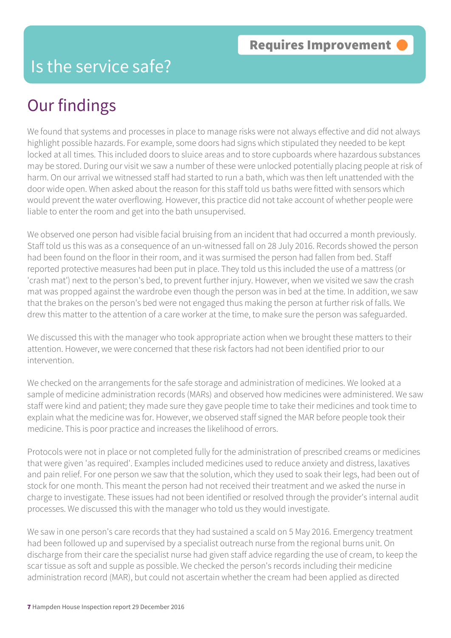### Is the service safe?

# Our findings

We found that systems and processes in place to manage risks were not always effective and did not always highlight possible hazards. For example, some doors had signs which stipulated they needed to be kept locked at all times. This included doors to sluice areas and to store cupboards where hazardous substances may be stored. During our visit we saw a number of these were unlocked potentially placing people at risk of harm. On our arrival we witnessed staff had started to run a bath, which was then left unattended with the door wide open. When asked about the reason for this staff told us baths were fitted with sensors which would prevent the water overflowing. However, this practice did not take account of whether people were liable to enter the room and get into the bath unsupervised.

We observed one person had visible facial bruising from an incident that had occurred a month previously. Staff told us this was as a consequence of an un-witnessed fall on 28 July 2016. Records showed the person had been found on the floor in their room, and it was surmised the person had fallen from bed. Staff reported protective measures had been put in place. They told us this included the use of a mattress (or 'crash mat') next to the person's bed, to prevent further injury. However, when we visited we saw the crash mat was propped against the wardrobe even though the person was in bed at the time. In addition, we saw that the brakes on the person's bed were not engaged thus making the person at further risk of falls. We drew this matter to the attention of a care worker at the time, to make sure the person was safeguarded.

We discussed this with the manager who took appropriate action when we brought these matters to their attention. However, we were concerned that these risk factors had not been identified prior to our intervention.

We checked on the arrangements for the safe storage and administration of medicines. We looked at a sample of medicine administration records (MARs) and observed how medicines were administered. We saw staff were kind and patient; they made sure they gave people time to take their medicines and took time to explain what the medicine was for. However, we observed staff signed the MAR before people took their medicine. This is poor practice and increases the likelihood of errors.

Protocols were not in place or not completed fully for the administration of prescribed creams or medicines that were given 'as required'. Examples included medicines used to reduce anxiety and distress, laxatives and pain relief. For one person we saw that the solution, which they used to soak their legs, had been out of stock for one month. This meant the person had not received their treatment and we asked the nurse in charge to investigate. These issues had not been identified or resolved through the provider's internal audit processes. We discussed this with the manager who told us they would investigate.

We saw in one person's care records that they had sustained a scald on 5 May 2016. Emergency treatment had been followed up and supervised by a specialist outreach nurse from the regional burns unit. On discharge from their care the specialist nurse had given staff advice regarding the use of cream, to keep the scar tissue as soft and supple as possible. We checked the person's records including their medicine administration record (MAR), but could not ascertain whether the cream had been applied as directed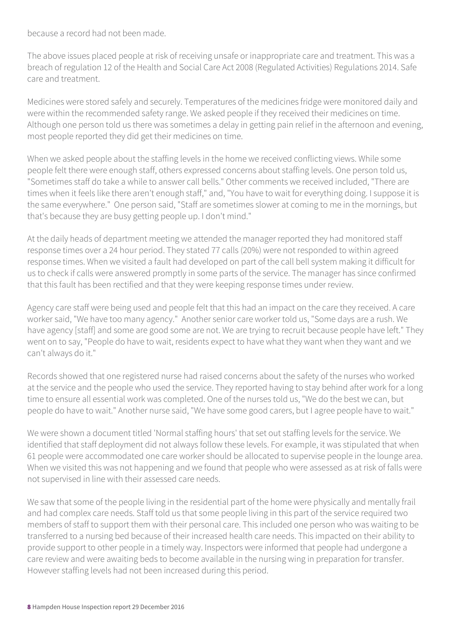because a record had not been made.

The above issues placed people at risk of receiving unsafe or inappropriate care and treatment. This was a breach of regulation 12 of the Health and Social Care Act 2008 (Regulated Activities) Regulations 2014. Safe care and treatment.

Medicines were stored safely and securely. Temperatures of the medicines fridge were monitored daily and were within the recommended safety range. We asked people if they received their medicines on time. Although one person told us there was sometimes a delay in getting pain relief in the afternoon and evening, most people reported they did get their medicines on time.

When we asked people about the staffing levels in the home we received conflicting views. While some people felt there were enough staff, others expressed concerns about staffing levels. One person told us, "Sometimes staff do take a while to answer call bells." Other comments we received included, "There are times when it feels like there aren't enough staff," and, "You have to wait for everything doing. I suppose it is the same everywhere." One person said, "Staff are sometimes slower at coming to me in the mornings, but that's because they are busy getting people up. I don't mind."

At the daily heads of department meeting we attended the manager reported they had monitored staff response times over a 24 hour period. They stated 77 calls (20%) were not responded to within agreed response times. When we visited a fault had developed on part of the call bell system making it difficult for us to check if calls were answered promptly in some parts of the service. The manager has since confirmed that this fault has been rectified and that they were keeping response times under review.

Agency care staff were being used and people felt that this had an impact on the care they received. A care worker said, "We have too many agency." Another senior care worker told us, "Some days are a rush. We have agency [staff] and some are good some are not. We are trying to recruit because people have left." They went on to say, "People do have to wait, residents expect to have what they want when they want and we can't always do it."

Records showed that one registered nurse had raised concerns about the safety of the nurses who worked at the service and the people who used the service. They reported having to stay behind after work for a long time to ensure all essential work was completed. One of the nurses told us, "We do the best we can, but people do have to wait." Another nurse said, "We have some good carers, but I agree people have to wait."

We were shown a document titled 'Normal staffing hours' that set out staffing levels for the service. We identified that staff deployment did not always follow these levels. For example, it was stipulated that when 61 people were accommodated one care worker should be allocated to supervise people in the lounge area. When we visited this was not happening and we found that people who were assessed as at risk of falls were not supervised in line with their assessed care needs.

We saw that some of the people living in the residential part of the home were physically and mentally frail and had complex care needs. Staff told us that some people living in this part of the service required two members of staff to support them with their personal care. This included one person who was waiting to be transferred to a nursing bed because of their increased health care needs. This impacted on their ability to provide support to other people in a timely way. Inspectors were informed that people had undergone a care review and were awaiting beds to become available in the nursing wing in preparation for transfer. However staffing levels had not been increased during this period.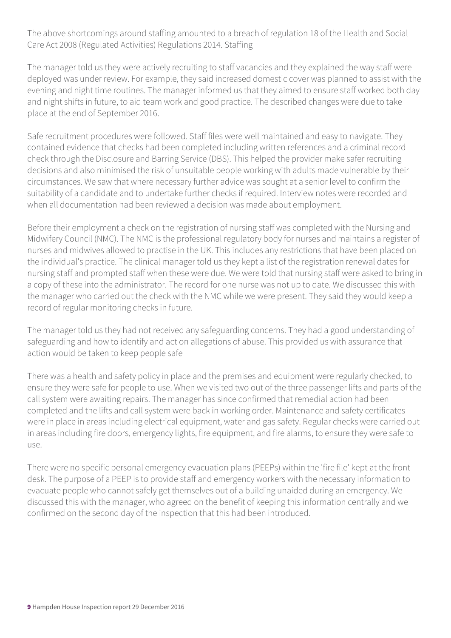The above shortcomings around staffing amounted to a breach of regulation 18 of the Health and Social Care Act 2008 (Regulated Activities) Regulations 2014. Staffing

The manager told us they were actively recruiting to staff vacancies and they explained the way staff were deployed was under review. For example, they said increased domestic cover was planned to assist with the evening and night time routines. The manager informed us that they aimed to ensure staff worked both day and night shifts in future, to aid team work and good practice. The described changes were due to take place at the end of September 2016.

Safe recruitment procedures were followed. Staff files were well maintained and easy to navigate. They contained evidence that checks had been completed including written references and a criminal record check through the Disclosure and Barring Service (DBS). This helped the provider make safer recruiting decisions and also minimised the risk of unsuitable people working with adults made vulnerable by their circumstances. We saw that where necessary further advice was sought at a senior level to confirm the suitability of a candidate and to undertake further checks if required. Interview notes were recorded and when all documentation had been reviewed a decision was made about employment.

Before their employment a check on the registration of nursing staff was completed with the Nursing and Midwifery Council (NMC). The NMC is the professional regulatory body for nurses and maintains a register of nurses and midwives allowed to practise in the UK. This includes any restrictions that have been placed on the individual's practice. The clinical manager told us they kept a list of the registration renewal dates for nursing staff and prompted staff when these were due. We were told that nursing staff were asked to bring in a copy of these into the administrator. The record for one nurse was not up to date. We discussed this with the manager who carried out the check with the NMC while we were present. They said they would keep a record of regular monitoring checks in future.

The manager told us they had not received any safeguarding concerns. They had a good understanding of safeguarding and how to identify and act on allegations of abuse. This provided us with assurance that action would be taken to keep people safe

There was a health and safety policy in place and the premises and equipment were regularly checked, to ensure they were safe for people to use. When we visited two out of the three passenger lifts and parts of the call system were awaiting repairs. The manager has since confirmed that remedial action had been completed and the lifts and call system were back in working order. Maintenance and safety certificates were in place in areas including electrical equipment, water and gas safety. Regular checks were carried out in areas including fire doors, emergency lights, fire equipment, and fire alarms, to ensure they were safe to use.

There were no specific personal emergency evacuation plans (PEEPs) within the 'fire file' kept at the front desk. The purpose of a PEEP is to provide staff and emergency workers with the necessary information to evacuate people who cannot safely get themselves out of a building unaided during an emergency. We discussed this with the manager, who agreed on the benefit of keeping this information centrally and we confirmed on the second day of the inspection that this had been introduced.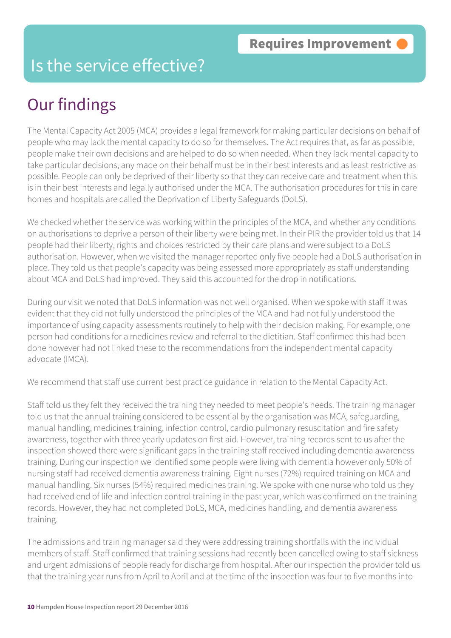### Is the service effective?

# Our findings

The Mental Capacity Act 2005 (MCA) provides a legal framework for making particular decisions on behalf of people who may lack the mental capacity to do so for themselves. The Act requires that, as far as possible, people make their own decisions and are helped to do so when needed. When they lack mental capacity to take particular decisions, any made on their behalf must be in their best interests and as least restrictive as possible. People can only be deprived of their liberty so that they can receive care and treatment when this is in their best interests and legally authorised under the MCA. The authorisation procedures for this in care homes and hospitals are called the Deprivation of Liberty Safeguards (DoLS).

We checked whether the service was working within the principles of the MCA, and whether any conditions on authorisations to deprive a person of their liberty were being met. In their PIR the provider told us that 14 people had their liberty, rights and choices restricted by their care plans and were subject to a DoLS authorisation. However, when we visited the manager reported only five people had a DoLS authorisation in place. They told us that people's capacity was being assessed more appropriately as staff understanding about MCA and DoLS had improved. They said this accounted for the drop in notifications.

During our visit we noted that DoLS information was not well organised. When we spoke with staff it was evident that they did not fully understood the principles of the MCA and had not fully understood the importance of using capacity assessments routinely to help with their decision making. For example, one person had conditions for a medicines review and referral to the dietitian. Staff confirmed this had been done however had not linked these to the recommendations from the independent mental capacity advocate (IMCA).

We recommend that staff use current best practice guidance in relation to the Mental Capacity Act.

Staff told us they felt they received the training they needed to meet people's needs. The training manager told us that the annual training considered to be essential by the organisation was MCA, safeguarding, manual handling, medicines training, infection control, cardio pulmonary resuscitation and fire safety awareness, together with three yearly updates on first aid. However, training records sent to us after the inspection showed there were significant gaps in the training staff received including dementia awareness training. During our inspection we identified some people were living with dementia however only 50% of nursing staff had received dementia awareness training. Eight nurses (72%) required training on MCA and manual handling. Six nurses (54%) required medicines training. We spoke with one nurse who told us they had received end of life and infection control training in the past year, which was confirmed on the training records. However, they had not completed DoLS, MCA, medicines handling, and dementia awareness training.

The admissions and training manager said they were addressing training shortfalls with the individual members of staff. Staff confirmed that training sessions had recently been cancelled owing to staff sickness and urgent admissions of people ready for discharge from hospital. After our inspection the provider told us that the training year runs from April to April and at the time of the inspection was four to five months into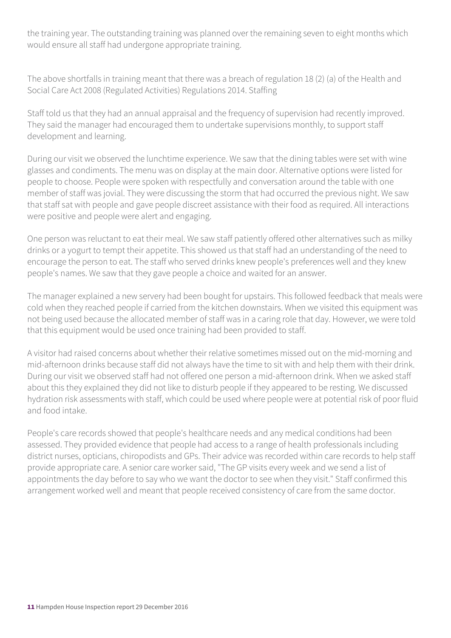the training year. The outstanding training was planned over the remaining seven to eight months which would ensure all staff had undergone appropriate training.

The above shortfalls in training meant that there was a breach of regulation 18 (2) (a) of the Health and Social Care Act 2008 (Regulated Activities) Regulations 2014. Staffing

Staff told us that they had an annual appraisal and the frequency of supervision had recently improved. They said the manager had encouraged them to undertake supervisions monthly, to support staff development and learning.

During our visit we observed the lunchtime experience. We saw that the dining tables were set with wine glasses and condiments. The menu was on display at the main door. Alternative options were listed for people to choose. People were spoken with respectfully and conversation around the table with one member of staff was jovial. They were discussing the storm that had occurred the previous night. We saw that staff sat with people and gave people discreet assistance with their food as required. All interactions were positive and people were alert and engaging.

One person was reluctant to eat their meal. We saw staff patiently offered other alternatives such as milky drinks or a yogurt to tempt their appetite. This showed us that staff had an understanding of the need to encourage the person to eat. The staff who served drinks knew people's preferences well and they knew people's names. We saw that they gave people a choice and waited for an answer.

The manager explained a new servery had been bought for upstairs. This followed feedback that meals were cold when they reached people if carried from the kitchen downstairs. When we visited this equipment was not being used because the allocated member of staff was in a caring role that day. However, we were told that this equipment would be used once training had been provided to staff.

A visitor had raised concerns about whether their relative sometimes missed out on the mid-morning and mid-afternoon drinks because staff did not always have the time to sit with and help them with their drink. During our visit we observed staff had not offered one person a mid-afternoon drink. When we asked staff about this they explained they did not like to disturb people if they appeared to be resting. We discussed hydration risk assessments with staff, which could be used where people were at potential risk of poor fluid and food intake.

People's care records showed that people's healthcare needs and any medical conditions had been assessed. They provided evidence that people had access to a range of health professionals including district nurses, opticians, chiropodists and GPs. Their advice was recorded within care records to help staff provide appropriate care. A senior care worker said, "The GP visits every week and we send a list of appointments the day before to say who we want the doctor to see when they visit." Staff confirmed this arrangement worked well and meant that people received consistency of care from the same doctor.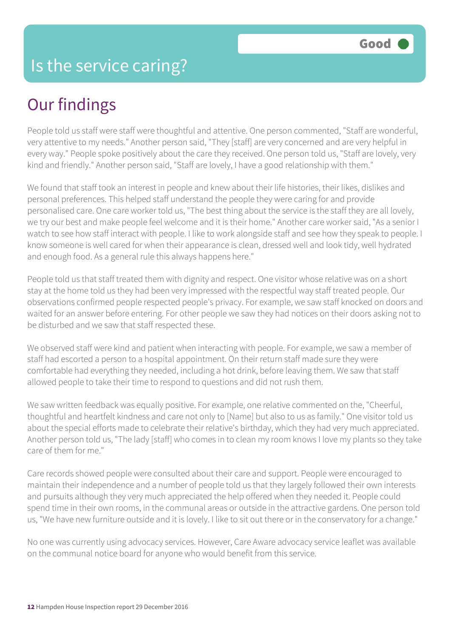# Our findings

People told us staff were staff were thoughtful and attentive. One person commented, "Staff are wonderful, very attentive to my needs." Another person said, "They [staff] are very concerned and are very helpful in every way." People spoke positively about the care they received. One person told us, "Staff are lovely, very kind and friendly." Another person said, "Staff are lovely, I have a good relationship with them."

We found that staff took an interest in people and knew about their life histories, their likes, dislikes and personal preferences. This helped staff understand the people they were caring for and provide personalised care. One care worker told us, "The best thing about the service is the staff they are all lovely, we try our best and make people feel welcome and it is their home." Another care worker said, "As a senior I watch to see how staff interact with people. I like to work alongside staff and see how they speak to people. I know someone is well cared for when their appearance is clean, dressed well and look tidy, well hydrated and enough food. As a general rule this always happens here."

People told us that staff treated them with dignity and respect. One visitor whose relative was on a short stay at the home told us they had been very impressed with the respectful way staff treated people. Our observations confirmed people respected people's privacy. For example, we saw staff knocked on doors and waited for an answer before entering. For other people we saw they had notices on their doors asking not to be disturbed and we saw that staff respected these.

We observed staff were kind and patient when interacting with people. For example, we saw a member of staff had escorted a person to a hospital appointment. On their return staff made sure they were comfortable had everything they needed, including a hot drink, before leaving them. We saw that staff allowed people to take their time to respond to questions and did not rush them.

We saw written feedback was equally positive. For example, one relative commented on the, "Cheerful, thoughtful and heartfelt kindness and care not only to [Name] but also to us as family." One visitor told us about the special efforts made to celebrate their relative's birthday, which they had very much appreciated. Another person told us, "The lady [staff] who comes in to clean my room knows I love my plants so they take care of them for me."

Care records showed people were consulted about their care and support. People were encouraged to maintain their independence and a number of people told us that they largely followed their own interests and pursuits although they very much appreciated the help offered when they needed it. People could spend time in their own rooms, in the communal areas or outside in the attractive gardens. One person told us, "We have new furniture outside and it is lovely. I like to sit out there or in the conservatory for a change."

No one was currently using advocacy services. However, Care Aware advocacy service leaflet was available on the communal notice board for anyone who would benefit from this service.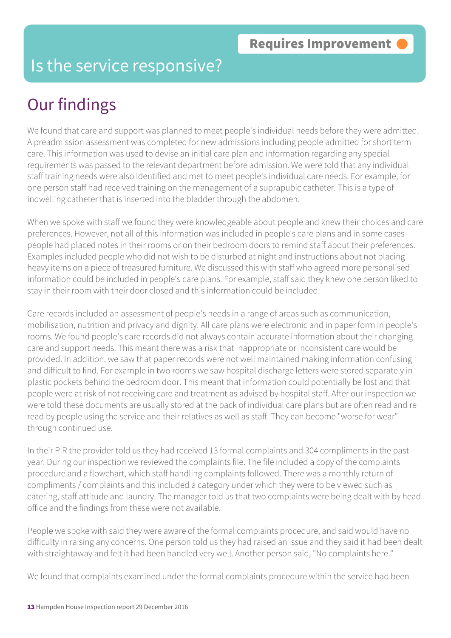### Is the service responsive?

# Our findings

We found that care and support was planned to meet people's individual needs before they were admitted. A preadmission assessment was completed for new admissions including people admitted for short term care. This information was used to devise an initial care plan and information regarding any special requirements was passed to the relevant department before admission. We were told that any individual staff training needs were also identified and met to meet people's individual care needs. For example, for one person staff had received training on the management of a suprapubic catheter. This is a type of indwelling catheter that is inserted into the bladder through the abdomen.

When we spoke with staff we found they were knowledgeable about people and knew their choices and care preferences. However, not all of this information was included in people's care plans and in some cases people had placed notes in their rooms or on their bedroom doors to remind staff about their preferences. Examples included people who did not wish to be disturbed at night and instructions about not placing heavy items on a piece of treasured furniture. We discussed this with staff who agreed more personalised information could be included in people's care plans. For example, staff said they knew one person liked to stay in their room with their door closed and this information could be included.

Care records included an assessment of people's needs in a range of areas such as communication, mobilisation, nutrition and privacy and dignity. All care plans were electronic and in paper form in people's rooms. We found people's care records did not always contain accurate information about their changing care and support needs. This meant there was a risk that inappropriate or inconsistent care would be provided. In addition, we saw that paper records were not well maintained making information confusing and difficult to find. For example in two rooms we saw hospital discharge letters were stored separately in plastic pockets behind the bedroom door. This meant that information could potentially be lost and that people were at risk of not receiving care and treatment as advised by hospital staff. After our inspection we were told these documents are usually stored at the back of individual care plans but are often read and re read by people using the service and their relatives as well as staff. They can become "worse for wear" through continued use.

In their PIR the provider told us they had received 13 formal complaints and 304 compliments in the past year. During our inspection we reviewed the complaints file. The file included a copy of the complaints procedure and a flowchart, which staff handling complaints followed. There was a monthly return of compliments / complaints and this included a category under which they were to be viewed such as catering, staff attitude and laundry. The manager told us that two complaints were being dealt with by head office and the findings from these were not available.

People we spoke with said they were aware of the formal complaints procedure, and said would have no difficulty in raising any concerns. One person told us they had raised an issue and they said it had been dealt with straightaway and felt it had been handled very well. Another person said, "No complaints here."

We found that complaints examined under the formal complaints procedure within the service had been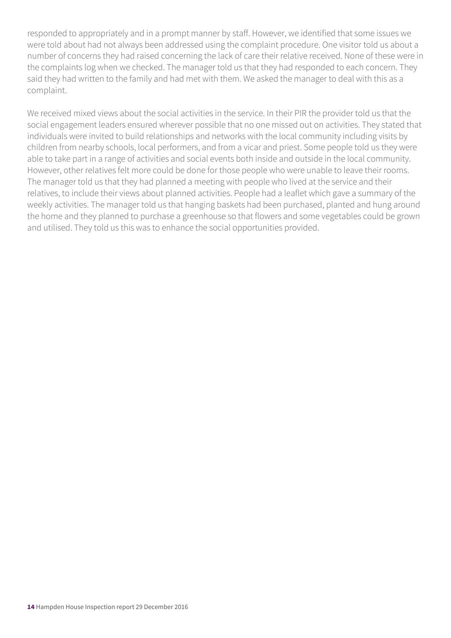responded to appropriately and in a prompt manner by staff. However, we identified that some issues we were told about had not always been addressed using the complaint procedure. One visitor told us about a number of concerns they had raised concerning the lack of care their relative received. None of these were in the complaints log when we checked. The manager told us that they had responded to each concern. They said they had written to the family and had met with them. We asked the manager to deal with this as a complaint.

We received mixed views about the social activities in the service. In their PIR the provider told us that the social engagement leaders ensured wherever possible that no one missed out on activities. They stated that individuals were invited to build relationships and networks with the local community including visits by children from nearby schools, local performers, and from a vicar and priest. Some people told us they were able to take part in a range of activities and social events both inside and outside in the local community. However, other relatives felt more could be done for those people who were unable to leave their rooms. The manager told us that they had planned a meeting with people who lived at the service and their relatives, to include their views about planned activities. People had a leaflet which gave a summary of the weekly activities. The manager told us that hanging baskets had been purchased, planted and hung around the home and they planned to purchase a greenhouse so that flowers and some vegetables could be grown and utilised. They told us this was to enhance the social opportunities provided.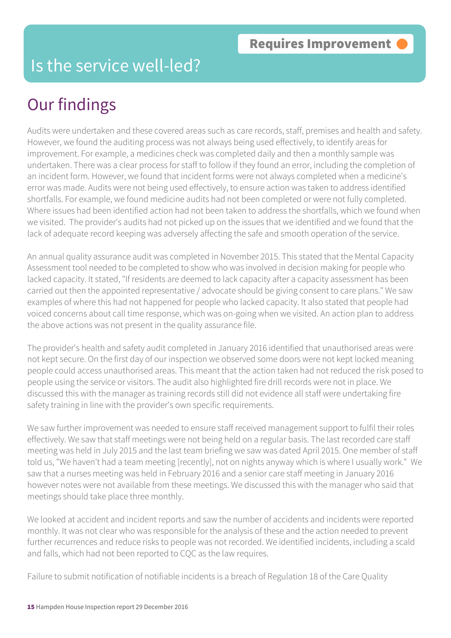### Is the service well-led?

# Our findings

Audits were undertaken and these covered areas such as care records, staff, premises and health and safety. However, we found the auditing process was not always being used effectively, to identify areas for improvement. For example, a medicines check was completed daily and then a monthly sample was undertaken. There was a clear process for staff to follow if they found an error, including the completion of an incident form. However, we found that incident forms were not always completed when a medicine's error was made. Audits were not being used effectively, to ensure action was taken to address identified shortfalls. For example, we found medicine audits had not been completed or were not fully completed. Where issues had been identified action had not been taken to address the shortfalls, which we found when we visited. The provider's audits had not picked up on the issues that we identified and we found that the lack of adequate record keeping was adversely affecting the safe and smooth operation of the service.

An annual quality assurance audit was completed in November 2015. This stated that the Mental Capacity Assessment tool needed to be completed to show who was involved in decision making for people who lacked capacity. It stated, "If residents are deemed to lack capacity after a capacity assessment has been carried out then the appointed representative / advocate should be giving consent to care plans." We saw examples of where this had not happened for people who lacked capacity. It also stated that people had voiced concerns about call time response, which was on-going when we visited. An action plan to address the above actions was not present in the quality assurance file.

The provider's health and safety audit completed in January 2016 identified that unauthorised areas were not kept secure. On the first day of our inspection we observed some doors were not kept locked meaning people could access unauthorised areas. This meant that the action taken had not reduced the risk posed to people using the service or visitors. The audit also highlighted fire drill records were not in place. We discussed this with the manager as training records still did not evidence all staff were undertaking fire safety training in line with the provider's own specific requirements.

We saw further improvement was needed to ensure staff received management support to fulfil their roles effectively. We saw that staff meetings were not being held on a regular basis. The last recorded care staff meeting was held in July 2015 and the last team briefing we saw was dated April 2015. One member of staff told us, "We haven't had a team meeting [recently], not on nights anyway which is where I usually work." We saw that a nurses meeting was held in February 2016 and a senior care staff meeting in January 2016 however notes were not available from these meetings. We discussed this with the manager who said that meetings should take place three monthly.

We looked at accident and incident reports and saw the number of accidents and incidents were reported monthly. It was not clear who was responsible for the analysis of these and the action needed to prevent further recurrences and reduce risks to people was not recorded. We identified incidents, including a scald and falls, which had not been reported to CQC as the law requires.

Failure to submit notification of notifiable incidents is a breach of Regulation 18 of the Care Quality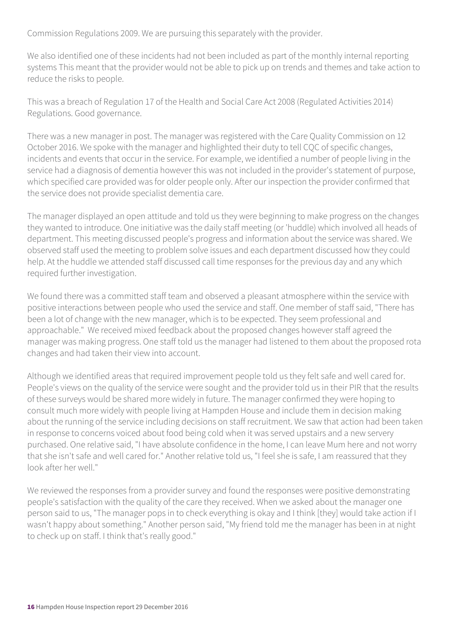Commission Regulations 2009. We are pursuing this separately with the provider.

We also identified one of these incidents had not been included as part of the monthly internal reporting systems This meant that the provider would not be able to pick up on trends and themes and take action to reduce the risks to people.

This was a breach of Regulation 17 of the Health and Social Care Act 2008 (Regulated Activities 2014) Regulations. Good governance.

There was a new manager in post. The manager was registered with the Care Quality Commission on 12 October 2016. We spoke with the manager and highlighted their duty to tell CQC of specific changes, incidents and events that occur in the service. For example, we identified a number of people living in the service had a diagnosis of dementia however this was not included in the provider's statement of purpose, which specified care provided was for older people only. After our inspection the provider confirmed that the service does not provide specialist dementia care.

The manager displayed an open attitude and told us they were beginning to make progress on the changes they wanted to introduce. One initiative was the daily staff meeting (or 'huddle) which involved all heads of department. This meeting discussed people's progress and information about the service was shared. We observed staff used the meeting to problem solve issues and each department discussed how they could help. At the huddle we attended staff discussed call time responses for the previous day and any which required further investigation.

We found there was a committed staff team and observed a pleasant atmosphere within the service with positive interactions between people who used the service and staff. One member of staff said, "There has been a lot of change with the new manager, which is to be expected. They seem professional and approachable." We received mixed feedback about the proposed changes however staff agreed the manager was making progress. One staff told us the manager had listened to them about the proposed rota changes and had taken their view into account.

Although we identified areas that required improvement people told us they felt safe and well cared for. People's views on the quality of the service were sought and the provider told us in their PIR that the results of these surveys would be shared more widely in future. The manager confirmed they were hoping to consult much more widely with people living at Hampden House and include them in decision making about the running of the service including decisions on staff recruitment. We saw that action had been taken in response to concerns voiced about food being cold when it was served upstairs and a new servery purchased. One relative said, "I have absolute confidence in the home, I can leave Mum here and not worry that she isn't safe and well cared for." Another relative told us, "I feel she is safe, I am reassured that they look after her well."

We reviewed the responses from a provider survey and found the responses were positive demonstrating people's satisfaction with the quality of the care they received. When we asked about the manager one person said to us, "The manager pops in to check everything is okay and I think [they] would take action if I wasn't happy about something." Another person said, "My friend told me the manager has been in at night to check up on staff. I think that's really good."